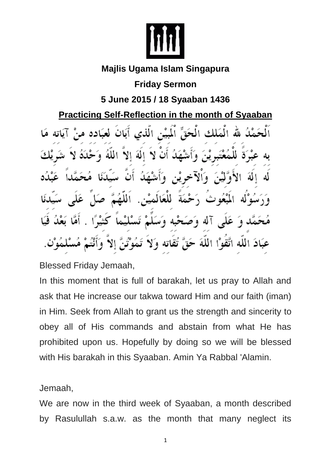

## **Majlis Ugama Islam Singapura**

## **Friday Sermon**

## **5 June 2015 / 18 Syaaban 1436**

**Practicing Self-Reflection in the month of Syaaban** 

لله الْمَلْكِ الْحَقِّ الْمُسْنِ الَّذِي أَيَانَ لَعْبَادِهِ م الة الا N اٺ اللفُ صْمَة للعَالمِيْنِ. يمُه ث dĪ ه ب عَبَادَ اللَّهُ اتَّقَوْا اللَّهَ حَقَّ تُقَاتَهُ وَلَا

Blessed Friday Jemaah,

In this moment that is full of barakah, let us pray to Allah and ask that He increase our takwa toward Him and our faith (iman) in Him. Seek from Allah to grant us the strength and sincerity to obey all of His commands and abstain from what He has prohibited upon us. Hopefully by doing so we will be blessed with His barakah in this Syaaban. Amin Ya Rabbal 'Alamin.

## Jemaah,

We are now in the third week of Syaaban, a month described by Rasulullah s.a.w. as the month that many neglect its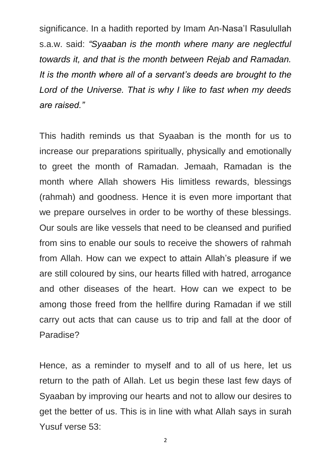significance. In a hadith reported by Imam An-Nasa'I Rasulullah s.a.w. said: *"Syaaban is the month where many are neglectful towards it, and that is the month between Rejab and Ramadan. It is the month where all of a servant's deeds are brought to the Lord of the Universe. That is why I like to fast when my deeds are raised."*

This hadith reminds us that Syaaban is the month for us to increase our preparations spiritually, physically and emotionally to greet the month of Ramadan. Jemaah, Ramadan is the month where Allah showers His limitless rewards, blessings (rahmah) and goodness. Hence it is even more important that we prepare ourselves in order to be worthy of these blessings. Our souls are like vessels that need to be cleansed and purified from sins to enable our souls to receive the showers of rahmah from Allah. How can we expect to attain Allah's pleasure if we are still coloured by sins, our hearts filled with hatred, arrogance and other diseases of the heart. How can we expect to be among those freed from the hellfire during Ramadan if we still carry out acts that can cause us to trip and fall at the door of Paradise?

Hence, as a reminder to myself and to all of us here, let us return to the path of Allah. Let us begin these last few days of Syaaban by improving our hearts and not to allow our desires to get the better of us. This is in line with what Allah says in surah Yusuf verse 53: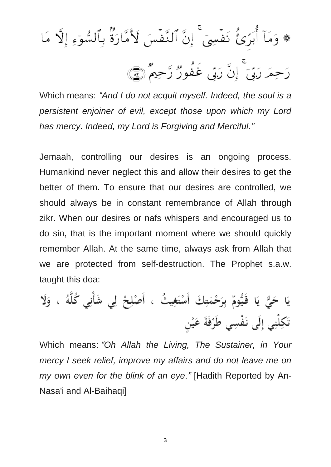\* وَمَآ أُبَرِّئُ نَفۡسِيٓ ۚ إِنَّ ٱلنَّفۡسَ لَأُمَّارَةٌ بِٱلسُّوٓءِ إِلَّا مَا رَحِمَرَ رَبِّيَ إِنَّ رَبِّي غَفُورٌ رَّحِيمٌ (١٤)

Which means: *"And I do not acquit myself. Indeed, the soul is a persistent enjoiner of evil, except those upon which my Lord has mercy. Indeed, my Lord is Forgiving and Merciful."*

Jemaah, controlling our desires is an ongoing process. Humankind never neglect this and allow their desires to get the better of them. To ensure that our desires are controlled, we should always be in constant remembrance of Allah through zikr. When our desires or nafs whispers and encouraged us to do sin, that is the important moment where we should quickly remember Allah. At the same time, always ask from Allah that we are protected from self-destruction. The Prophet s.a.w. taught this doa:

يَا حَيٌّ يَا قَيُّومٌ بِرَحْمَتِكَ أَسْتَغِيثُ ، أَصْلِحْ لِي شَأْنِي كُلَّهُ ، وَلَا تَكِلْنِي إِلَى نَفْسِي طَرْفَةَ عَيْن

Which means: *"Oh Allah the Living, The Sustainer, in Your mercy I seek relief, improve my affairs and do not leave me on my own even for the blink of an eye."* [Hadith Reported by An-Nasa'i and Al-Baihaqi]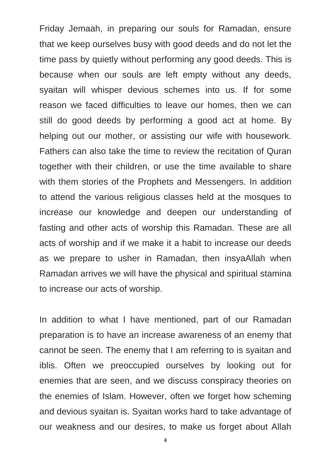Friday Jemaah, in preparing our souls for Ramadan, ensure that we keep ourselves busy with good deeds and do not let the time pass by quietly without performing any good deeds. This is because when our souls are left empty without any deeds, syaitan will whisper devious schemes into us. If for some reason we faced difficulties to leave our homes, then we can still do good deeds by performing a good act at home. By helping out our mother, or assisting our wife with housework. Fathers can also take the time to review the recitation of Quran together with their children, or use the time available to share with them stories of the Prophets and Messengers. In addition to attend the various religious classes held at the mosques to increase our knowledge and deepen our understanding of fasting and other acts of worship this Ramadan. These are all acts of worship and if we make it a habit to increase our deeds as we prepare to usher in Ramadan, then insyaAllah when Ramadan arrives we will have the physical and spiritual stamina to increase our acts of worship.

In addition to what I have mentioned, part of our Ramadan preparation is to have an increase awareness of an enemy that cannot be seen. The enemy that I am referring to is syaitan and iblis. Often we preoccupied ourselves by looking out for enemies that are seen, and we discuss conspiracy theories on the enemies of Islam. However, often we forget how scheming and devious syaitan is. Syaitan works hard to take advantage of our weakness and our desires, to make us forget about Allah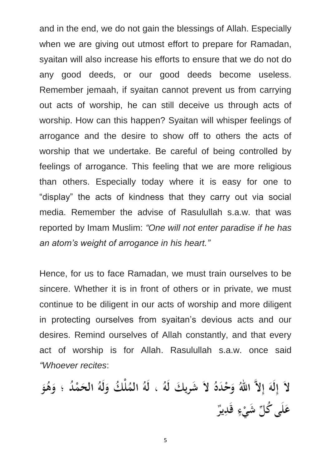and in the end, we do not gain the blessings of Allah. Especially when we are giving out utmost effort to prepare for Ramadan, syaitan will also increase his efforts to ensure that we do not do any good deeds, or our good deeds become useless. Remember jemaah, if syaitan cannot prevent us from carrying out acts of worship, he can still deceive us through acts of worship. How can this happen? Syaitan will whisper feelings of arrogance and the desire to show off to others the acts of worship that we undertake. Be careful of being controlled by feelings of arrogance. This feeling that we are more religious than others. Especially today where it is easy for one to "display" the acts of kindness that they carry out via social media. Remember the advise of Rasulullah s.a.w. that was reported by Imam Muslim: *"One will not enter paradise if he has an atom's weight of arrogance in his heart."*

Hence, for us to face Ramadan, we must train ourselves to be sincere. Whether it is in front of others or in private, we must continue to be diligent in our acts of worship and more diligent in protecting ourselves from syaitan's devious acts and our desires. Remind ourselves of Allah constantly, and that every act of worship is for Allah. Rasulullah s.a.w. once said *"Whoever recites*:

لاَ إِلَهَ إِلاَّ اللهُ وَحْدَهُ لاَ شَرِيكَ لَهُ ، لَهُ المُلْكُ وَلَهُ الحَمْدُ ؛ وَهُوَ عَلَى كُلِّ شَيْءٍ قَدِيرٌ